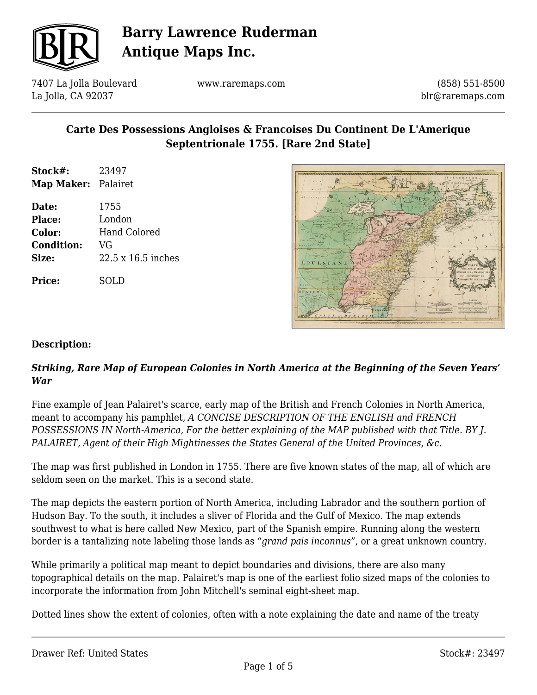

7407 La Jolla Boulevard La Jolla, CA 92037

www.raremaps.com

(858) 551-8500 blr@raremaps.com

### **Carte Des Possessions Angloises & Francoises Du Continent De L'Amerique Septentrionale 1755. [Rare 2nd State]**

- **Stock#:** 23497 **Map Maker:** Palairet
- **Date:** 1755 **Place:** London **Color:** Hand Colored **Condition:** VG **Size:** 22.5 x 16.5 inches

**Price:** SOLD



#### **Description:**

#### *Striking, Rare Map of European Colonies in North America at the Beginning of the Seven Years' War*

Fine example of Jean Palairet's scarce, early map of the British and French Colonies in North America, meant to accompany his pamphlet, *A CONCISE DESCRIPTION OF THE ENGLISH and FRENCH POSSESSIONS IN North-America, For the better explaining of the MAP published with that Title. BY J. PALAIRET, Agent of their High Mightinesses the States General of the United Provinces, &c.*

The map was first published in London in 1755. There are five known states of the map, all of which are seldom seen on the market. This is a second state.

The map depicts the eastern portion of North America, including Labrador and the southern portion of Hudson Bay. To the south, it includes a sliver of Florida and the Gulf of Mexico. The map extends southwest to what is here called New Mexico, part of the Spanish empire. Running along the western border is a tantalizing note labeling those lands as "*grand pais inconnus*", or a great unknown country.

While primarily a political map meant to depict boundaries and divisions, there are also many topographical details on the map. Palairet's map is one of the earliest folio sized maps of the colonies to incorporate the information from John Mitchell's seminal eight-sheet map.

Dotted lines show the extent of colonies, often with a note explaining the date and name of the treaty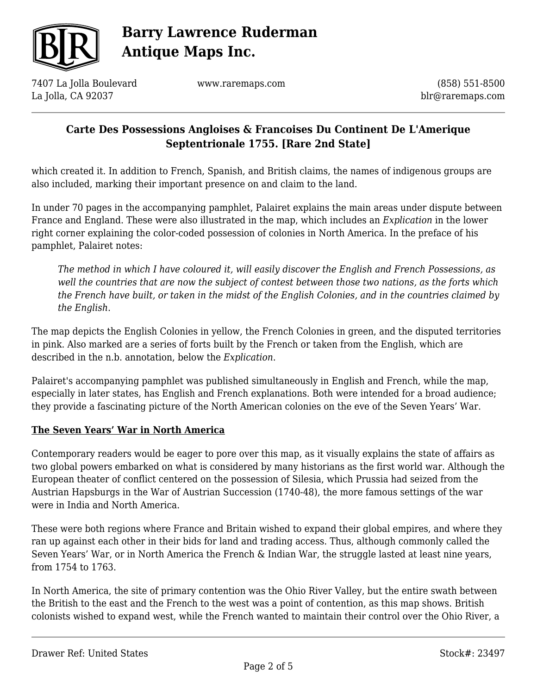

7407 La Jolla Boulevard La Jolla, CA 92037

www.raremaps.com

(858) 551-8500 blr@raremaps.com

### **Carte Des Possessions Angloises & Francoises Du Continent De L'Amerique Septentrionale 1755. [Rare 2nd State]**

which created it. In addition to French, Spanish, and British claims, the names of indigenous groups are also included, marking their important presence on and claim to the land.

In under 70 pages in the accompanying pamphlet, Palairet explains the main areas under dispute between France and England. These were also illustrated in the map, which includes an *Explication* in the lower right corner explaining the color-coded possession of colonies in North America. In the preface of his pamphlet, Palairet notes:

*The method in which I have coloured it, will easily discover the English and French Possessions, as well the countries that are now the subject of contest between those two nations, as the forts which the French have built, or taken in the midst of the English Colonies, and in the countries claimed by the English*.

The map depicts the English Colonies in yellow, the French Colonies in green, and the disputed territories in pink. Also marked are a series of forts built by the French or taken from the English, which are described in the n.b. annotation, below the *Explication*.

Palairet's accompanying pamphlet was published simultaneously in English and French, while the map, especially in later states, has English and French explanations. Both were intended for a broad audience; they provide a fascinating picture of the North American colonies on the eve of the Seven Years' War.

#### **The Seven Years' War in North America**

Contemporary readers would be eager to pore over this map, as it visually explains the state of affairs as two global powers embarked on what is considered by many historians as the first world war. Although the European theater of conflict centered on the possession of Silesia, which Prussia had seized from the Austrian Hapsburgs in the War of Austrian Succession (1740-48), the more famous settings of the war were in India and North America.

These were both regions where France and Britain wished to expand their global empires, and where they ran up against each other in their bids for land and trading access. Thus, although commonly called the Seven Years' War, or in North America the French & Indian War, the struggle lasted at least nine years, from 1754 to 1763.

In North America, the site of primary contention was the Ohio River Valley, but the entire swath between the British to the east and the French to the west was a point of contention, as this map shows. British colonists wished to expand west, while the French wanted to maintain their control over the Ohio River, a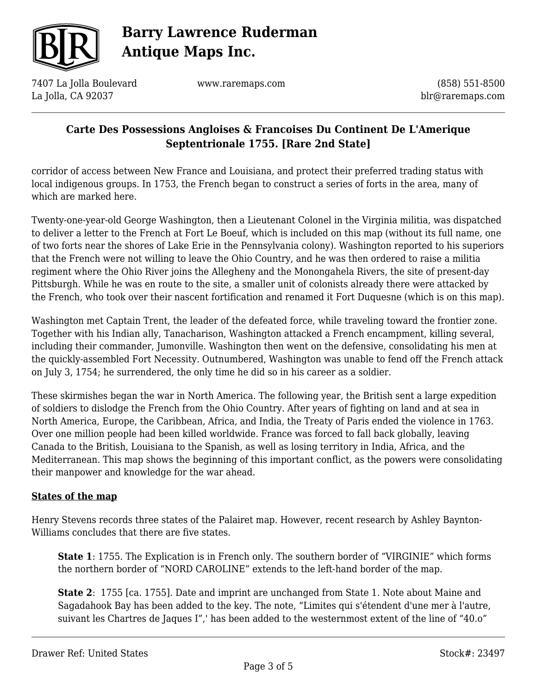

7407 La Jolla Boulevard La Jolla, CA 92037

www.raremaps.com

(858) 551-8500 blr@raremaps.com

### **Carte Des Possessions Angloises & Francoises Du Continent De L'Amerique Septentrionale 1755. [Rare 2nd State]**

corridor of access between New France and Louisiana, and protect their preferred trading status with local indigenous groups. In 1753, the French began to construct a series of forts in the area, many of which are marked here.

Twenty-one-year-old George Washington, then a Lieutenant Colonel in the Virginia militia, was dispatched to deliver a letter to the French at Fort Le Boeuf, which is included on this map (without its full name, one of two forts near the shores of Lake Erie in the Pennsylvania colony). Washington reported to his superiors that the French were not willing to leave the Ohio Country, and he was then ordered to raise a militia regiment where the Ohio River joins the Allegheny and the Monongahela Rivers, the site of present-day Pittsburgh. While he was en route to the site, a smaller unit of colonists already there were attacked by the French, who took over their nascent fortification and renamed it Fort Duquesne (which is on this map).

Washington met Captain Trent, the leader of the defeated force, while traveling toward the frontier zone. Together with his Indian ally, Tanacharison, Washington attacked a French encampment, killing several, including their commander, Jumonville. Washington then went on the defensive, consolidating his men at the quickly-assembled Fort Necessity. Outnumbered, Washington was unable to fend off the French attack on July 3, 1754; he surrendered, the only time he did so in his career as a soldier.

These skirmishes began the war in North America. The following year, the British sent a large expedition of soldiers to dislodge the French from the Ohio Country. After years of fighting on land and at sea in North America, Europe, the Caribbean, Africa, and India, the Treaty of Paris ended the violence in 1763. Over one million people had been killed worldwide. France was forced to fall back globally, leaving Canada to the British, Louisiana to the Spanish, as well as losing territory in India, Africa, and the Mediterranean. This map shows the beginning of this important conflict, as the powers were consolidating their manpower and knowledge for the war ahead.

#### **States of the map**

Henry Stevens records three states of the Palairet map. However, recent research by Ashley Baynton-Williams concludes that there are five states.

**State 1**: 1755. The Explication is in French only. The southern border of "VIRGINIE" which forms the northern border of "NORD CAROLINE" extends to the left-hand border of the map.

**State 2**: 1755 [ca. 1755]. Date and imprint are unchanged from State 1. Note about Maine and Sagadahook Bay has been added to the key. The note, "Limites qui s'étendent d'une mer à l'autre, suivant les Chartres de Jaques I",' has been added to the westernmost extent of the line of "40.o"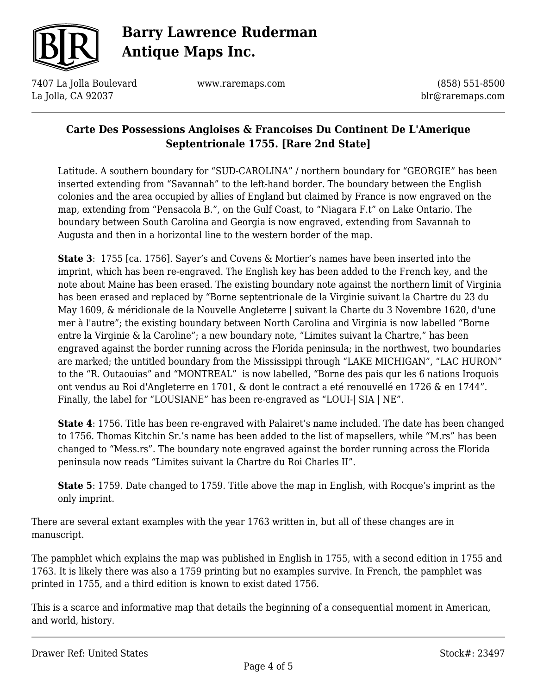

7407 La Jolla Boulevard La Jolla, CA 92037

www.raremaps.com

(858) 551-8500 blr@raremaps.com

### **Carte Des Possessions Angloises & Francoises Du Continent De L'Amerique Septentrionale 1755. [Rare 2nd State]**

Latitude. A southern boundary for "SUD-CAROLINA" / northern boundary for "GEORGIE" has been inserted extending from "Savannah" to the left-hand border. The boundary between the English colonies and the area occupied by allies of England but claimed by France is now engraved on the map, extending from "Pensacola B.", on the Gulf Coast, to "Niagara F.t" on Lake Ontario. The boundary between South Carolina and Georgia is now engraved, extending from Savannah to Augusta and then in a horizontal line to the western border of the map.

**State 3**: 1755 [ca. 1756]. Sayer's and Covens & Mortier's names have been inserted into the imprint, which has been re-engraved. The English key has been added to the French key, and the note about Maine has been erased. The existing boundary note against the northern limit of Virginia has been erased and replaced by "Borne septentrionale de la Virginie suivant la Chartre du 23 du May 1609, & méridionale de la Nouvelle Angleterre | suivant la Charte du 3 Novembre 1620, d'une mer à l'autre"; the existing boundary between North Carolina and Virginia is now labelled "Borne entre la Virginie & la Caroline"; a new boundary note, "Limites suivant la Chartre," has been engraved against the border running across the Florida peninsula; in the northwest, two boundaries are marked; the untitled boundary from the Mississippi through "LAKE MICHIGAN", "LAC HURON" to the "R. Outaouias" and "MONTREAL" is now labelled, "Borne des pais qur les 6 nations Iroquois ont vendus au Roi d'Angleterre en 1701, & dont le contract a eté renouvellé en 1726 & en 1744". Finally, the label for "LOUSIANE" has been re-engraved as "LOUI-| SIA | NE".

**State 4**: 1756. Title has been re-engraved with Palairet's name included. The date has been changed to 1756. Thomas Kitchin Sr.'s name has been added to the list of mapsellers, while "M.rs" has been changed to "Mess.rs". The boundary note engraved against the border running across the Florida peninsula now reads "Limites suivant la Chartre du Roi Charles II".

**State 5**: 1759. Date changed to 1759. Title above the map in English, with Rocque's imprint as the only imprint.

There are several extant examples with the year 1763 written in, but all of these changes are in manuscript.

The pamphlet which explains the map was published in English in 1755, with a second edition in 1755 and 1763. It is likely there was also a 1759 printing but no examples survive. In French, the pamphlet was printed in 1755, and a third edition is known to exist dated 1756.

This is a scarce and informative map that details the beginning of a consequential moment in American, and world, history.